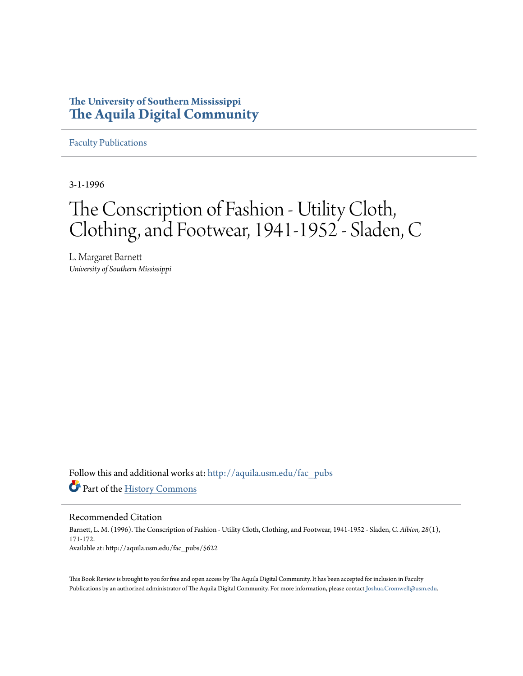## **The University of Southern Mississippi [The Aquila Digital Community](http://aquila.usm.edu?utm_source=aquila.usm.edu%2Ffac_pubs%2F5622&utm_medium=PDF&utm_campaign=PDFCoverPages)**

[Faculty Publications](http://aquila.usm.edu/fac_pubs?utm_source=aquila.usm.edu%2Ffac_pubs%2F5622&utm_medium=PDF&utm_campaign=PDFCoverPages)

3-1-1996

# The Conscription of Fashion - Utility Cloth, Clothing, and Footwear, 1941-1952 - Sladen, C

L. Margaret Barnett *University of Southern Mississippi*

Follow this and additional works at: [http://aquila.usm.edu/fac\\_pubs](http://aquila.usm.edu/fac_pubs?utm_source=aquila.usm.edu%2Ffac_pubs%2F5622&utm_medium=PDF&utm_campaign=PDFCoverPages) Part of the [History Commons](http://network.bepress.com/hgg/discipline/489?utm_source=aquila.usm.edu%2Ffac_pubs%2F5622&utm_medium=PDF&utm_campaign=PDFCoverPages)

Recommended Citation

Barnett, L. M. (1996). The Conscription of Fashion - Utility Cloth, Clothing, and Footwear, 1941-1952 - Sladen, C. *Albion, 28*(1), 171-172. Available at: http://aquila.usm.edu/fac\_pubs/5622

This Book Review is brought to you for free and open access by The Aquila Digital Community. It has been accepted for inclusion in Faculty Publications by an authorized administrator of The Aquila Digital Community. For more information, please contact [Joshua.Cromwell@usm.edu.](mailto:Joshua.Cromwell@usm.edu)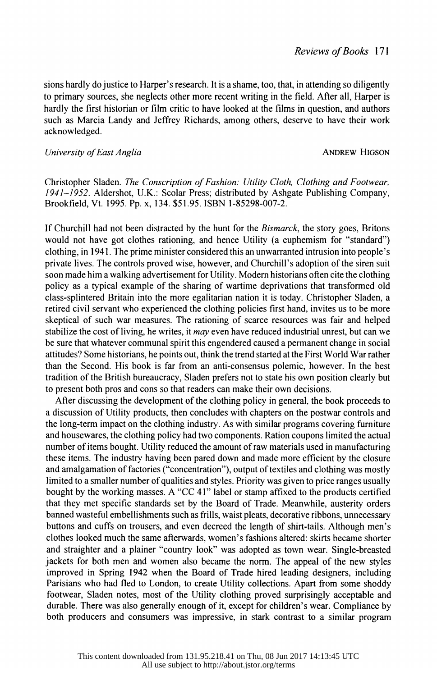sions hardly do justice to Harper's research. It is a shame, too, that, in attending so diligently to primary sources, she neglects other more recent writing in the field. After all, Harper is hardly the first historian or film critic to have looked at the films in question, and authors such as Marcia Landy and Jeffrey Richards, among others, deserve to have their work acknowledged.

#### University of East Anglia ANDREW HIGSON

 Christopher Sladen. The Conscription of Fashion: Utility Cloth, Clothing and Footwear, 1941-1952. Aldershot, U.K.: Scolar Press; distributed by Ashgate Publishing Company, Brookfield, Vt. 1995. Pp. x, 134. \$51.95. ISBN 1-85298-007-2.

If Churchill had not been distracted by the hunt for the *Bismarck*, the story goes, Britons would not have got clothes rationing, and hence Utility (a euphemism for "standard") clothing, in 1941. The prime minister considered this an unwarranted intrusion into people's private lives. The controls proved wise, however, and Churchill's adoption of the siren suit soon made him a walking advertisement for Utility. Modern historians often cite the clothing policy as a typical example of the sharing of wartime deprivations that transformed old class-splintered Britain into the more egalitarian nation it is today. Christopher Sladen, a retired civil servant who experienced the clothing policies first hand, invites us to be more skeptical of such war measures. The rationing of scarce resources was fair and helped stabilize the cost of living, he writes, it may even have reduced industrial unrest, but can we be sure that whatever communal spirit this engendered caused a permanent change in social attitudes? Some historians, he points out, think the trend started at the First World War rather than the Second. His book is far from an anti-consensus polemic, however. In the best tradition of the British bureaucracy, Sladen prefers not to state his own position clearly but to present both pros and cons so that readers can make their own decisions.

 After discussing the development of the clothing policy in general, the book proceeds to a discussion of Utility products, then concludes with chapters on the postwar controls and the long-term impact on the clothing industry. As with similar programs covering furniture and housewares, the clothing policy had two components. Ration coupons limited the actual number of items bought. Utility reduced the amount of raw materials used in manufacturing these items. The industry having been pared down and made more efficient by the closure and amalgamation of factories ("concentration"), output of textiles and clothing was mostly limited to a smaller number of qualities and styles. Priority was given to price ranges usually bought by the working masses. A "CC 41" label or stamp affixed to the products certified that they met specific standards set by the Board of Trade. Meanwhile, austerity orders banned wasteful embellishments such as frills, waist pleats, decorative ribbons, unnecessary buttons and cuffs on trousers, and even decreed the length of shirt-tails. Although men's clothes looked much the same afterwards, women's fashions altered: skirts became shorter and straighter and a plainer "country look" was adopted as town wear. Single-breasted jackets for both men and women also became the norm. The appeal of the new styles improved in Spring 1942 when the Board of Trade hired leading designers, including Parisians who had fled to London, to create Utility collections. Apart from some shoddy footwear, Sladen notes, most of the Utility clothing proved surprisingly acceptable and durable. There was also generally enough of it, except for children's wear. Compliance by both producers and consumers was impressive, in stark contrast to a similar program